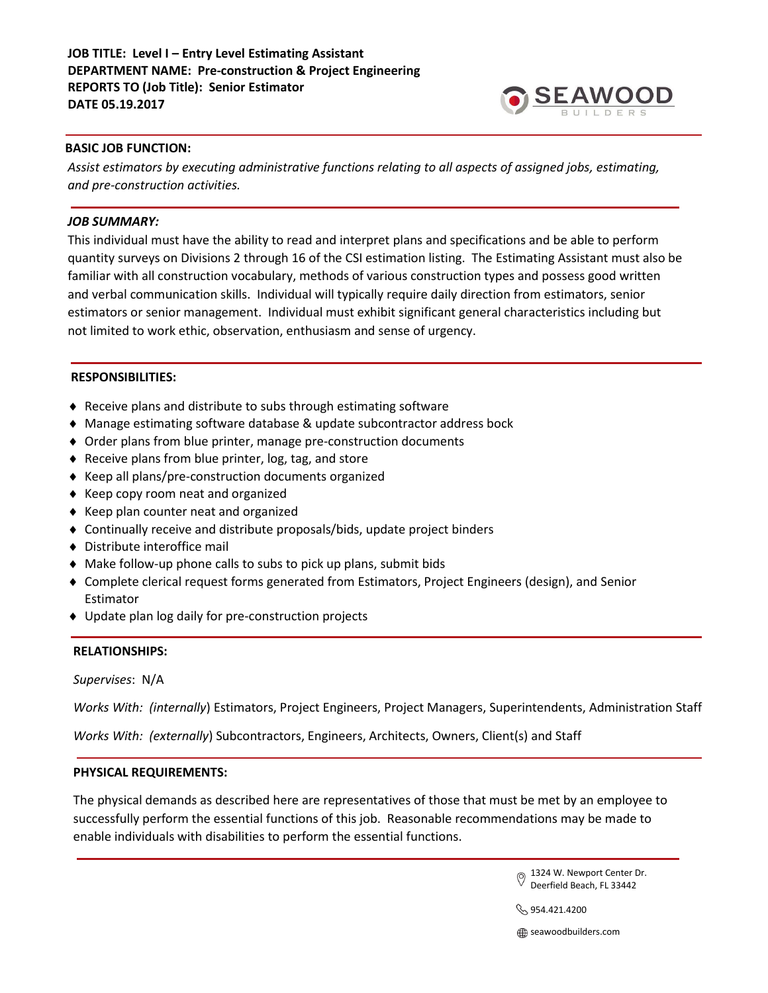# **JOB TITLE: Level I – Entry Level Estimating Assistant DEPARTMENT NAME: Pre-construction & Project Engineering REPORTS TO (Job Title): Senior Estimator DATE 05.19.2017**



## **BASIC JOB FUNCTION:**

*Assist estimators by executing administrative functions relating to all aspects of assigned jobs, estimating, and pre-construction activities.*

### *JOB SUMMARY:*

This individual must have the ability to read and interpret plans and specifications and be able to perform quantity surveys on Divisions 2 through 16 of the CSI estimation listing. The Estimating Assistant must also be familiar with all construction vocabulary, methods of various construction types and possess good written and verbal communication skills. Individual will typically require daily direction from estimators, senior estimators or senior management. Individual must exhibit significant general characteristics including but not limited to work ethic, observation, enthusiasm and sense of urgency.

## **RESPONSIBILITIES:**

- Receive plans and distribute to subs through estimating software
- Manage estimating software database & update subcontractor address bock
- Order plans from blue printer, manage pre-construction documents
- ◆ Receive plans from blue printer, log, tag, and store
- Keep all plans/pre-construction documents organized
- ◆ Keep copy room neat and organized
- $\triangle$  Keep plan counter neat and organized
- Continually receive and distribute proposals/bids, update project binders
- Distribute interoffice mail
- Make follow-up phone calls to subs to pick up plans, submit bids
- Complete clerical request forms generated from Estimators, Project Engineers (design), and Senior Estimator
- Update plan log daily for pre-construction projects

# **RELATIONSHIPS:**

*Supervises*: N/A

*Works With: (internally*) Estimators, Project Engineers, Project Managers, Superintendents, Administration Staff

*Works With: (externally*) Subcontractors, Engineers, Architects, Owners, Client(s) and Staff

### **PHYSICAL REQUIREMENTS:**

The physical demands as described here are representatives of those that must be met by an employee to successfully perform the essential functions of this job. Reasonable recommendations may be made to enable individuals with disabilities to perform the essential functions.

> 1324 W. Newport Center Dr. Deerfield Beach, FL 33442

 $\Im$  954.421.4200

**seawoodbuilders.com**